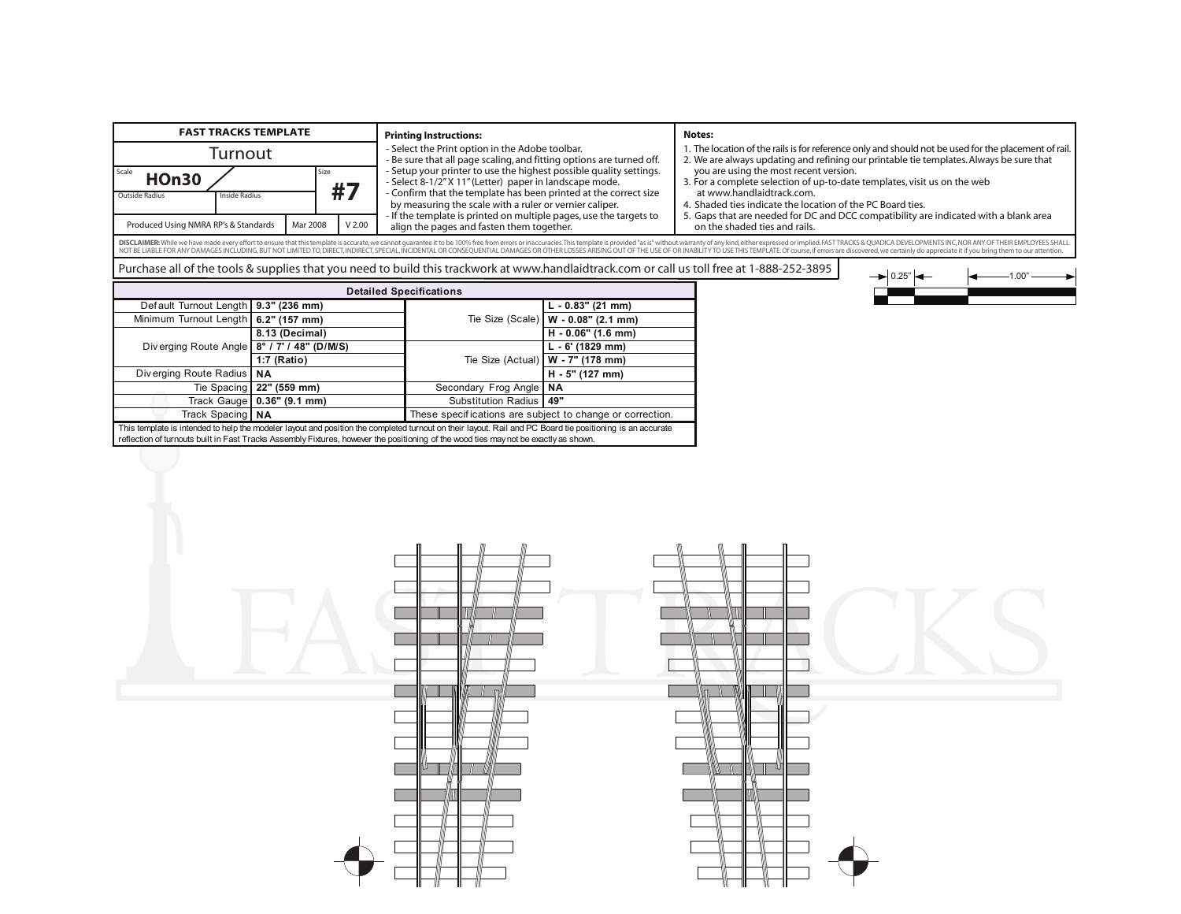